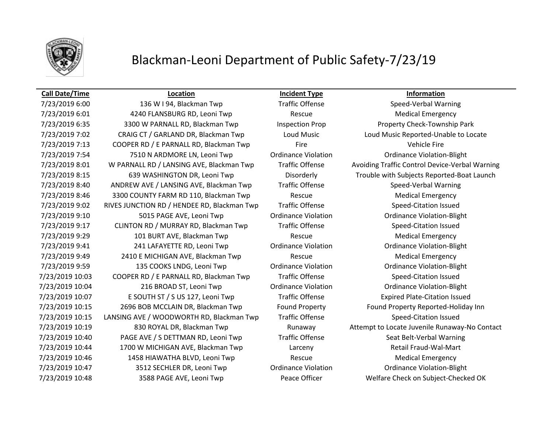

## **Call Date/Time Location Incident Type Information**

7/23/2019 6:00 136 W I 94, Blackman Twp Traffic Offense Speed-Verbal Warning 7/23/2019 6:01 4240 FLANSBURG RD, Leoni Twp Rescue Medical Emergency 7/23/2019 6:35 3300 W PARNALL RD, Blackman Twp Inspection Prop Property Check-Township Park 7/23/2019 7:02 CRAIG CT / GARLAND DR, Blackman Twp Loud Music Loud Music Reported-Unable to Locate 7/23/2019 7:13 COOPER RD / E PARNALL RD, Blackman Twp Fire Fire Vehicle Fire Vehicle Fire 7/23/2019 7:54 7510 N ARDMORE LN, Leoni Twp Ordinance Violation Ordinance Violation-Blight 7/23/2019 8:15 639 WASHINGTON DR, Leoni Twp Disorderly Trouble with Subjects Reported-Boat Launch 7/23/2019 8:40 ANDREW AVE / LANSING AVE, Blackman Twp Traffic Offense Speed-Verbal Warning 7/23/2019 8:46 3300 COUNTY FARM RD 110, Blackman Twp Rescue Rescue Medical Emergency 7/23/2019 9:02 RIVES JUNCTION RD / HENDEE RD, Blackman Twp Traffic Offense Speed-Citation Issued 7/23/2019 9:10 5015 PAGE AVE, Leoni Twp Ordinance Violation Ordinance Violation-Blight 7/23/2019 9:17 CLINTON RD / MURRAY RD, Blackman Twp Traffic Offense Speed-Citation Issued 7/23/2019 9:29 101 BURT AVE, Blackman Twp Rescue Rescue Medical Emergency 7/23/2019 9:41 241 LAFAYETTE RD, Leoni Twp Ordinance Violation Ordinance Violation-Blight 7/23/2019 9:49 2410 E MICHIGAN AVE, Blackman Twp Rescue Rescue Medical Emergency 7/23/2019 9:59 135 COOKS LNDG, Leoni Twp Ordinance Violation Ordinance Violation-Blight 7/23/2019 10:03 COOPER RD / E PARNALL RD, Blackman Twp Traffic Offense Speed-Citation Issued 7/23/2019 10:04 216 BROAD ST, Leoni Twp Ordinance Violation Ordinance Violation-Blight 7/23/2019 10:07 E SOUTH ST / S US 127, Leoni Twp Traffic Offense Expired Plate-Citation Issued 7/23/2019 10:15 2696 BOB MCCLAIN DR, Blackman Twp Found Property Found Property Reported-Holiday Inn 7/23/2019 10:15 LANSING AVE / WOODWORTH RD, Blackman Twp Traffic Offense Speed-Citation Issued 7/23/2019 10:40 PAGE AVE / S DETTMAN RD, Leoni Twp Traffic Offense Seat Belt-Verbal Warning 7/23/2019 10:44 1700 W MICHIGAN AVE, Blackman Twp Larceny Larceny Retail Fraud-Wal-Mart 7/23/2019 10:46 1458 HIAWATHA BLVD, Leoni Twp Rescue Medical Emergency 7/23/2019 10:47 3512 SECHLER DR, Leoni Twp Ordinance Violation Ordinance Violation-Blight 7/23/2019 10:48 3588 PAGE AVE, Leoni Twp Peace Officer Welfare Check on Subject-Checked OK

7/23/2019 8:01 W PARNALL RD / LANSING AVE, Blackman Twp Traffic Offense Avoiding Traffic Control Device-Verbal Warning 7/23/2019 10:19 830 ROYAL DR, Blackman Twp Runaway Attempt to Locate Juvenile Runaway-No Contact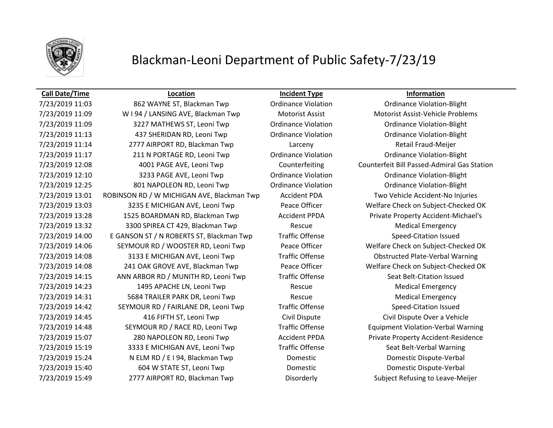

## **Call Date/Time Location Incident Type Information**

7/23/2019 11:09 W I 94 / LANSING AVE, Blackman Twp Motorist Assist Motorist Assist-Vehicle Problems 7/23/2019 11:09 3227 MATHEWS ST, Leoni Twp Ordinance Violation Ordinance Violation-Blight 7/23/2019 11:13 437 SHERIDAN RD, Leoni Twp Ordinance Violation Ordinance Violation-Blight 7/23/2019 11:14 2777 AIRPORT RD, Blackman Twp Larceny Retail Fraud-Meijer 7/23/2019 11:17 211 N PORTAGE RD, Leoni Twp Ordinance Violation Ordinance Violation-Blight 7/23/2019 12:08 4001 PAGE AVE, Leoni Twp Counterfeiting Counterfeit Bill Passed-Admiral Gas Station 7/23/2019 12:10 3233 PAGE AVE, Leoni Twp Ordinance Violation Ordinance Violation-Blight 7/23/2019 12:25 801 NAPOLEON RD, Leoni Twp Ordinance Violation Ordinance Violation-Blight 7/23/2019 13:01 ROBINSON RD / W MICHIGAN AVE, Blackman Twp Accident PDA Two Vehicle Accident-No Injuries 7/23/2019 13:03 3235 E MICHIGAN AVE, Leoni Twp Peace Officer Welfare Check on Subject-Checked OK 7/23/2019 13:28 1525 BOARDMAN RD, Blackman Twp Accident PPDA Private Property Accident-Michael's 7/23/2019 13:32 3300 SPIREA CT 429, Blackman Twp Rescue Medical Emergency 7/23/2019 14:00 E GANSON ST / N ROBERTS ST, Blackman Twp Traffic Offense Speed-Citation Issued 7/23/2019 14:06 SEYMOUR RD / WOOSTER RD, Leoni Twp Peace Officer Welfare Check on Subject-Checked OK 7/23/2019 14:08 3133 E MICHIGAN AVE, Leoni Twp Traffic Offense Obstructed Plate-Verbal Warning 7/23/2019 14:08 241 OAK GROVE AVE, Blackman Twp Peace Officer Welfare Check on Subject-Checked OK 7/23/2019 14:15 ANN ARBOR RD / MUNITH RD, Leoni Twp Traffic Offense Seat Belt-Citation Issued 7/23/2019 14:23 1495 APACHE LN, Leoni Twp Rescue Medical Emergency 7/23/2019 14:31 5684 TRAILER PARK DR, Leoni Twp Rescue Rescue Medical Emergency 7/23/2019 14:42 SEYMOUR RD / FAIRLANE DR, Leoni Twp Traffic Offense Speed-Citation Issued 7/23/2019 14:45 416 FIFTH ST, Leoni Twp Civil Dispute Civil Dispute Over a Vehicle 7/23/2019 14:48 SEYMOUR RD / RACE RD, Leoni Twp Traffic Offense Equipment Violation-Verbal Warning 7/23/2019 15:07 280 NAPOLEON RD, Leoni Twp Accident PPDA Private Property Accident-Residence 7/23/2019 15:19 3333 E MICHIGAN AVE, Leoni Twp Traffic Offense Seat Belt-Verbal Warning 7/23/2019 15:24 N ELM RD / E I 94, Blackman Twp Domestic Domestic Dispute-Verbal 7/23/2019 15:40 604 W STATE ST, Leoni Twp Domestic Domestic Dispute-Verbal 7/23/2019 15:49 2777 AIRPORT RD, Blackman Twp Disorderly Subject Refusing to Leave-Meijer

7/23/2019 11:03 862 WAYNE ST, Blackman Twp Ordinance Violation Ordinance Violation-Blight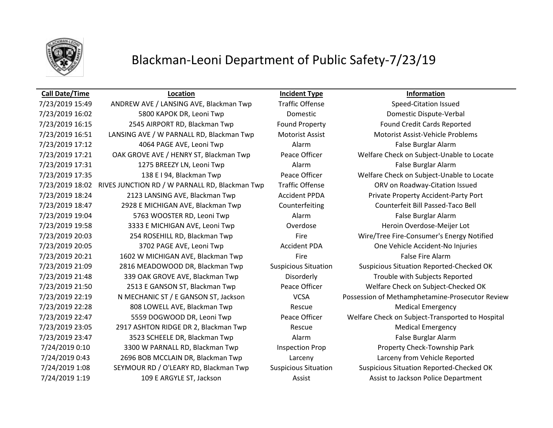

## **Call Date/Time Location Incident Type Information**

7/23/2019 16:02 5800 KAPOK DR, Leoni Twp Domestic Domestic Dispute-Verbal 7/23/2019 16:15 2545 AIRPORT RD, Blackman Twp Found Property Found Credit Cards Reported 7/23/2019 16:51 LANSING AVE / W PARNALL RD, Blackman Twp Motorist Assist Motorist Assist-Vehicle Problems 7/23/2019 17:12 4064 PAGE AVE, Leoni Twp Alarm False Burglar Alarm 7/23/2019 17:21 OAK GROVE AVE / HENRY ST, Blackman Twp Peace Officer Welfare Check on Subject-Unable to Locate 7/23/2019 17:31 1275 BREEZY LN, Leoni Twp Alarm Alarm Alarm False Burglar Alarm 7/23/2019 17:35 138 E I 94, Blackman Twp Peace Officer Welfare Check on Subject-Unable to Locate 7/23/2019 18:02 RIVES JUNCTION RD / W PARNALL RD, Blackman Twp Traffic Offense ORV on Roadway-Citation Issued 7/23/2019 18:24 2123 LANSING AVE, Blackman Twp Accident PPDA Private Property Accident-Party Port 7/23/2019 18:47 2928 E MICHIGAN AVE, Blackman Twp Counterfeiting Counterfeit Bill Passed-Taco Bell 7/23/2019 19:04 5763 WOOSTER RD, Leoni Twp Alarm Alarm False Burglar Alarm 7/23/2019 19:58 3333 E MICHIGAN AVE, Leoni Twp Overdose Heroin Overdose-Meijer Lot 7/23/2019 20:03 254 ROSEHILL RD, Blackman Twp Fire Wire/Tree Fire-Consumer's Energy Notified 7/23/2019 20:05 3702 PAGE AVE, Leoni Twp Accident PDA One Vehicle Accident-No Injuries 7/23/2019 20:21 1602 W MICHIGAN AVE, Blackman Twp Fire Fire Fire False Fire Alarm 7/23/2019 21:09 2816 MEADOWOOD DR, Blackman Twp Suspicious Situation Suspicious Situation Reported-Checked OK 7/23/2019 21:48 339 OAK GROVE AVE, Blackman Twp Disorderly Trouble with Subjects Reported 7/23/2019 21:50 2513 E GANSON ST, Blackman Twp Peace Officer Welfare Check on Subject-Checked OK 7/23/2019 22:28 808 LOWELL AVE, Blackman Twp Rescue Medical Emergency 7/23/2019 23:05 2917 ASHTON RIDGE DR 2, Blackman Twp Rescue Rescue Medical Emergency 7/23/2019 23:47 3523 SCHEELE DR, Blackman Twp Alarm Alarm False Burglar Alarm 7/24/2019 0:10 3300 W PARNALL RD, Blackman Twp Inspection Prop Property Check-Township Park 7/24/2019 0:43 2696 BOB MCCLAIN DR, Blackman Twp Larceny Larceny from Vehicle Reported 7/24/2019 1:08 SEYMOUR RD / O'LEARY RD, Blackman Twp Suspicious Situation Suspicious Situation Reported-Checked OK 7/24/2019 1:19 109 E ARGYLE ST, Jackson Assist Assist Assist to Jackson Police Department

7/23/2019 15:49 ANDREW AVE / LANSING AVE, Blackman Twp Traffic Offense Speed-Citation Issued 7/23/2019 22:19 N MECHANIC ST / E GANSON ST, Jackson VCSA Possession of Methamphetamine-Prosecutor Review 7/23/2019 22:47 5559 DOGWOOD DR, Leoni Twp Peace Officer Welfare Check on Subject-Transported to Hospital